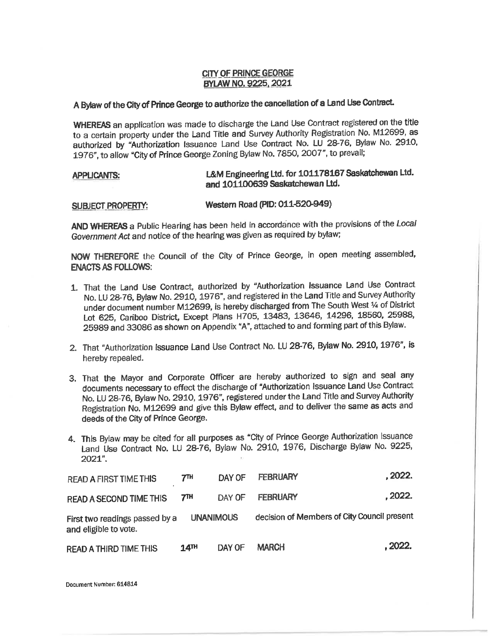## CITY OF PRINCE GEORGE BYLAW NO. 9225, 2021

## <sup>A</sup>Bylaw of the City of Prince George to authorize the cancellation of a Land Use Contract.

**WHEREAS** an application was made to discharge the Land Use Contract registered on the title to a certain property under the Land Title and Survey Authority Registration No. M12699, as authorized by "Authorization Issuance Land Use Contract No. LU 28-76, Bylaw No. 2910, 1976", to allow "City of Prince George Zoning Bylaw No. 7850, 2007", to prevail;

## **APPLICANTS:**  L&M Engineering Ltd. **for 101178167 Saskatchewan** Ltd. **and 101100639 Saskatchewan Ltd.**

## SUBJECT **PROPERTY: Western Road (PIO: 011-620-949)**

**AND WHEREAS** a Public Hearing has been held in accordance with the provisions of the Local Government Act and notice of the hearing was given as required by bylaw;

NOW THEREFORE the Council of the City of Prince George, in open meeting assembled, **ENACTS AS FOLLOWS:** 

- 1. That the Land Use Contract, authorized by "Authorization Issuance Land Use Contract No. LU 28-76, Bylaw No. 2910, 1976", and registered in the Land Title and Survey Authority under document number M12699, is hereby discharged from The South West ¼ of District Lot 625, Cariboo District, Except Plans H705, 13483, 13646, 14296, 18560, 25988, <sup>25989</sup>and 33086 as shown on Appendix "A", attached to and forming part of this Bylaw.
- 2. That "Authorization Issuance Land Use Contract No. LU 28-76, Bylaw No. 2910, 1976", is hereby repealed.
- 3. That the Mayor and Corporate Officer are hereby authorized to sign and seal any documents necessary to effect the discharge of "Authorization Issuance Land Use Contract No. LU 28-76, Bylaw No. 2910, 1976", registered under the Land Title and Survey Authority Registration No. M12699 and give this Bylaw effect, and to deliver the same as acts and deeds of the City of Prince George.
- 4. This Bylaw may be cited for all purposes as "City of Prince George Authorization Issuance Land Use Contract No. LU 28-76, Bylaw No. 2910, 1976, Discharge Bylaw No. 9225, 2021".

| <b>READ A FIRST TIME THIS</b>                           | 7 <sup>TH</sup>    | DAY OF | FEBRUARY                                    | .2022.  |
|---------------------------------------------------------|--------------------|--------|---------------------------------------------|---------|
| <b>READ A SECOND TIME THIS</b>                          | <b>7TH</b>         | DAY OF | <b>FEBRUARY</b>                             | . 2022. |
| First two readings passed by a<br>and eligible to vote. | <b>UNANIMOUS</b>   |        | decision of Members of City Council present |         |
| <b>READ A THIRD TIME THIS</b>                           | $14$ <sup>TH</sup> | DAY OF | <b>MARCH</b>                                | . 2022. |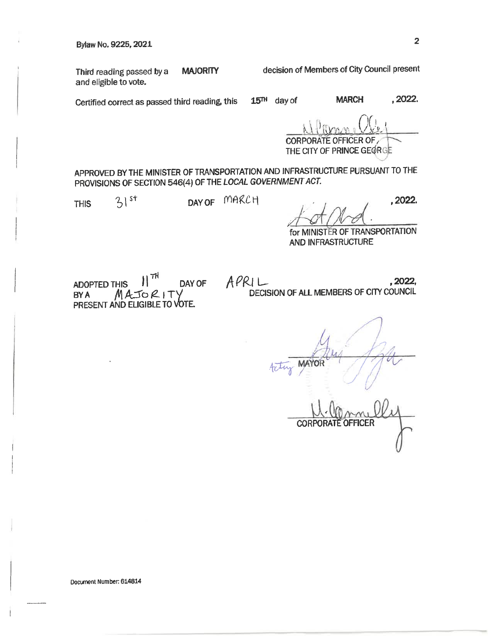Bylaw No. 9225, 2021 <sup>2</sup>

and eligible to vote.

Third reading passed by a **MAJORITY** decision of Members of City Council present

Certified correct as passed third reading, this 15TH day of **MARCH ,2022.** 

CORPORATE OFFICER OF THE CITY OF PRINCE GEORGE

APPROVED BY THE MINISTER OF TRANSPORTATION AND INFRASTRUCTURE PURSUANT TO THE PROVISIONS OF SECTION 546(4) OF THE LOCAL GOVERNMENT ACT.

THIS  $31^{st}$  DAY OF MARCH

 $t+\gamma_d$ ,  $^{2022}$ 

for MINISTER OF TRANSPORTATION ANO INFRASTRUCTURE

ADOPTED THIS  $\left\| \frac{\tau H}{\tau} \right\|$  DAY OF  $BYA$   $MATORIT'$ PRESENT AND ELIGIBLE TO VOTE.

 $APRLL$ , 2022, DECISION OF ALL MEMBERS OF CITY COUNCIL

**CORPORATE OFFICER**